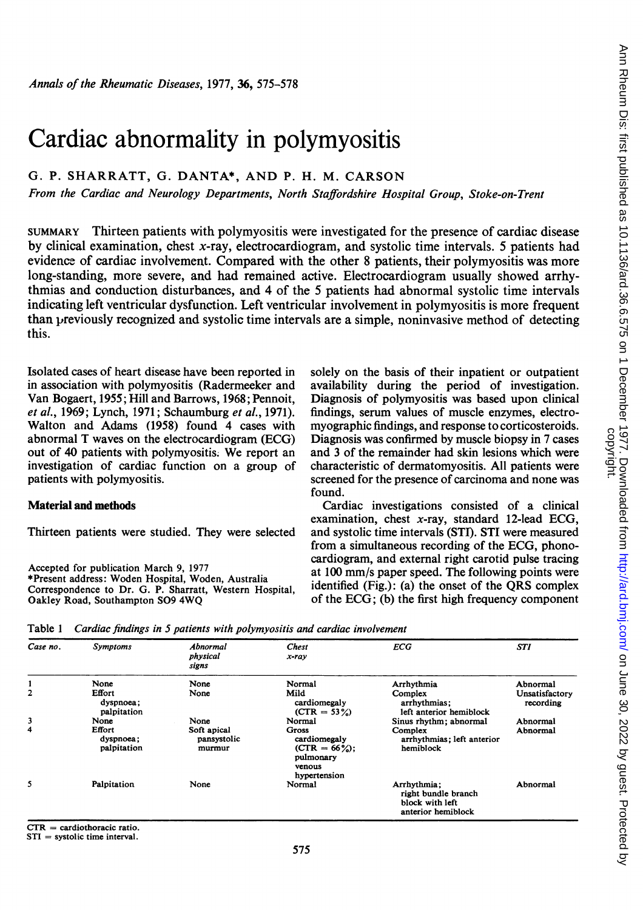# Cardiac abnormality in polymyositis

# G. P. SHARRATT, G. DANTA\*, AND P. H. M. CARSON

From the Cardiac and Neurology Departments, North Staffordshire Hospital Group, Stoke-on-Trent

SUMMARY Thirteen patients with polymyositis were investigated for the presence of cardiac disease by clinical examination, chest x-ray, electrocardiogram, and systolic time intervals. 5 patients had evidence of cardiac involvement. Compared with the other 8 patients, their polymyositis was more long-standing, more severe, and had remained active. Electrocardiogram usually showed arrhythmias and conduction disturbances, and 4 of the 5 patients had abnormal systolic time intervals indicating left ventricular dysfunction. Left ventricular involvement in polymyositis is more frequent than previously recognized and systolic time intervals are a simple, noninvasive method of detecting this.

Isolated cases of heart disease have been reported in in association with polymyositis (Radermeeker and Van Bogaert, 1955; Hill and Barrows, 1968; Pennoit, et al., 1969; Lynch, 1971; Schaumburg et al., 1971). Walton and Adams (1958) found 4 cases with abnormal T waves on the electrocardiogram (ECG) out of 40 patients with polymyositis. We report an investigation of cardiac function on a group of patients with polymyositis.

# Material and methods

Thirteen patients were studied. They were selected

Accepted for publication March 9, 1977 \*Present address: Woden Hospital, Woden, Australia Correspondence to Dr. G. P. Sharratt, Western Hospital, Oakley Road, Southampton S09 4WQ

solely on the basis of their inpatient or outpatient availability during the period of investigation. Diagnosis of polymyositis was based upon clinical findings, serum values of muscle enzymes, electromyographic findings, and response to corticosteroids. Diagnosis was confirmed by muscle biopsy in 7 cases and 3 of the remainder had skin lesions which were characteristic of dermatomyositis. All patients were screened for the presence of carcinoma and none was found.

Cardiac investigations consisted of a clinical examination, chest x-ray, standard 12-lead ECG, and systolic time intervals (STI). STI were measured from a simultaneous recording of the ECG, phonocardiogram, and external right carotid pulse tracing at 100 mm/s paper speed. The following points were identified (Fig.): (a) the onset of the QRS complex of the ECG; (b) the first high frequency component

Table <sup>1</sup> Cardiac findings in S patients with polymyositis and cardiac involvement

| Case no.       | <b>Symptoms</b>                    | Abnormal<br>physical<br>signs                                                                 | <b>Chest</b><br>x-ray                                                                   | <b>ECG</b>                                         | STI                         |
|----------------|------------------------------------|-----------------------------------------------------------------------------------------------|-----------------------------------------------------------------------------------------|----------------------------------------------------|-----------------------------|
|                | None                               | None                                                                                          | Normal                                                                                  | Arrhythmia                                         | Abnormal                    |
| $\overline{2}$ | Effort<br>dyspnoea;<br>palpitation | None                                                                                          | Mild<br>cardiomegaly<br>$(CTR = 53\%)$                                                  | Complex<br>arrhythmias:<br>left anterior hemiblock | Unsatisfactory<br>recording |
| 3              | None                               | None                                                                                          | Normal                                                                                  | Sinus rhythm; abnormal                             | Abnormal                    |
| 4              | Effort<br>dyspnoea;<br>palpitation | Soft apical<br>pansystolic<br>murmur                                                          | <b>Gross</b><br>cardiomegaly<br>$(CTR = 66\%)$ ;<br>pulmonary<br>venous<br>hypertension | Complex<br>arrhythmias; left anterior<br>hemiblock | Abnormal                    |
| 5              | Palpitation                        | None<br>Normal<br>Arrhythmia:<br>right bundle branch<br>block with left<br>anterior hemiblock |                                                                                         | Abnormal                                           |                             |

 $CTR = cardiothoracic ratio.$ 

STI = systolic time interval.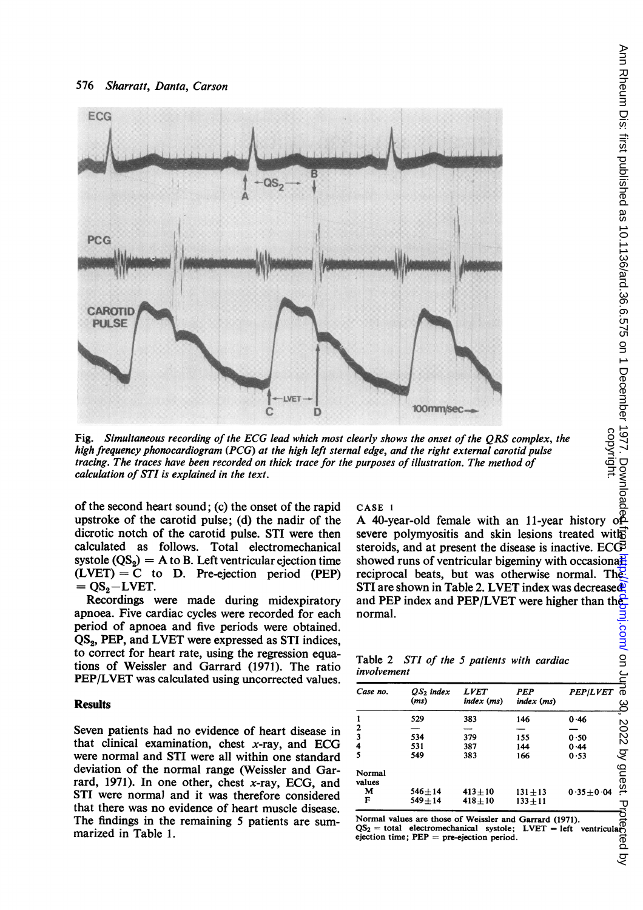

Fig. Simultaneous recording of the ECG lead which most clearly shows the onset of the QRS complex, the high frequency phonocardiogram (PCG) at the high left sternal edge, and the right external carotid pulse tracing. The traces have been recorded on thick trace for the purposes of illustration. The method of calculation of STI is explained in the text.

of the second heart sound; (c) the onset of the rapid upstroke of the carotid pulse; (d) the nadir of the dicrotic notch of the carotid pulse. STI were then calculated as follows. Total electromechanical systole  $(QS_2) = A$  to B. Left ventricular ejection time  $(LVET) = C$  to D. Pre-ejection period (PEP)  $= QS_2 - LVET.$ 

Recordings were made during midexpiratory apnoea. Five cardiac cycles were recorded for each period of apnoea and five periods were obtained. QS<sub>2</sub>, PEP, and LVET were expressed as STI indices, to correct for heart rate, using the regression equations of Weissler and Garrard (1971). The ratio PEP/LVET was calculated using uncorrected values.

# **Results**

Seven patients had no evidence of heart disease in that clinical examination, chest  $x$ -ray, and ECG were normal and STI were all within one standard deviation of the normal range (Weissler and Garrard, 1971). In one other, chest x-ray, ECG, and STI were normal and it was therefore considered that there was no evidence of heart muscle disease. The findings in the remaining 5 patients are summarized in Table 1.

CASE 1<br>A 40-year-old female with an 11-year history of severe polymyositis and skin lesions treated with steroids, and at present the disease is inactive. ECG showed runs of ventricular bigeminy with occasionalreciprocal beats, but was otherwise normal. The STI are shown in Table 2. LVET index was decreased and PEP index and PEP/LVET were higher than the normal.

| Table 2 STI of the 5 patients with cardiac |  |  |  |  |
|--------------------------------------------|--|--|--|--|
| involvement                                |  |  |  |  |

| Case no.         | QS <sub>2</sub> index<br>(ms) | <i><b>LVET</b></i><br>$index$ (ms) | PEP<br>index (ms) | <b>PEP/LVET</b> |
|------------------|-------------------------------|------------------------------------|-------------------|-----------------|
|                  | 529                           | 383                                | 146               | 0.46            |
|                  |                               |                                    |                   |                 |
|                  | 534                           | 379                                | 155               | 0.50            |
| 4                | 531                           | 387                                | 144               | 0.44            |
|                  | 549                           | 383                                | 166               | 0.53            |
| Normal<br>values |                               |                                    |                   |                 |
| м                | $546 + 14$                    | $413 + 10$                         | $131 + 13$        | $0.35 \pm 0.04$ |
| F                | $549 + 14$                    | $418 + 10$                         | $133 + 11$        |                 |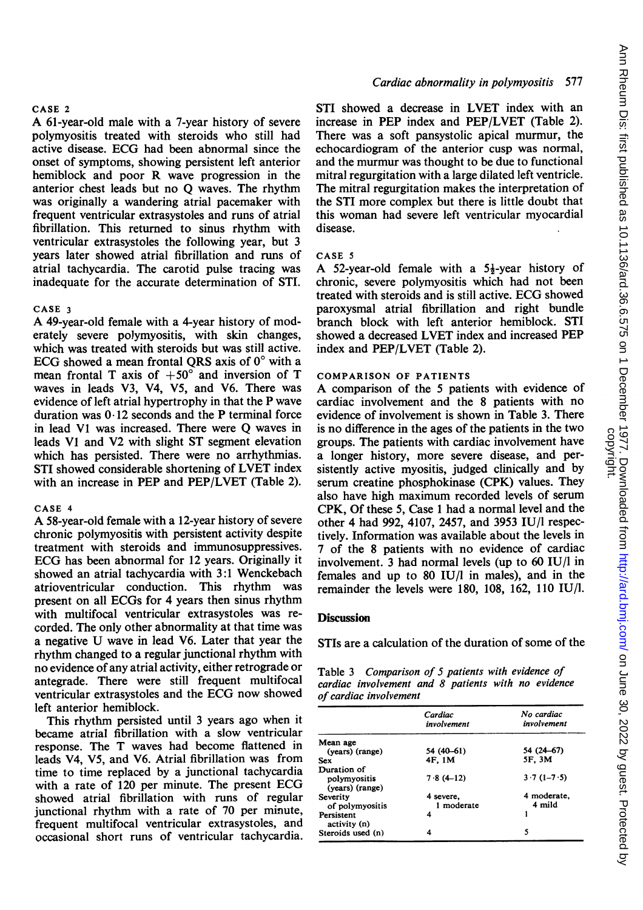### CASE <sup>2</sup>

A 61-year-old male with <sup>a</sup> 7-year history of severe polymyositis treated with steroids who still had active disease. ECG had been abnormal since the onset of symptoms, showing persistent left anterior hemiblock and poor R wave progression in the anterior chest leads but no Q waves. The rhythm was originally a wandering atrial pacemaker with frequent ventricular extrasystoles and runs of atrial fibrillation. This returned to sinus rhythm with ventricular extrasystoles the following year, but 3 years later showed atrial fibrillation and runs of atrial tachycardia. The carotid pulse tracing was inadequate for the accurate determination of STI.

### CASE <sup>3</sup>

A 49-year-old female with <sup>a</sup> 4-year history of moderately severe polymyositis, with skin changes, which was treated with steroids but was still active. ECG showed a mean frontal QRS axis of  $0^{\circ}$  with a mean frontal T axis of  $+50^{\circ}$  and inversion of T waves in leads V3, V4, V5, and V6. There was evidence of left atrial hypertrophy in that the P wave duration was  $0.12$  seconds and the P terminal force in lead VI was increased. There were Q waves in leads VI and V2 with slight ST segment elevation which has persisted. There were no arrhythmias. STI showed considerable shortening of LVET index with an increase in PEP and PEP/LVET (Table 2).

### CASE <sup>4</sup>

A 58-year-old female with <sup>a</sup> 12-year history of severe chronic polymyositis with persistent activity despite treatment with steroids and immunosuppressives. ECG has been abnormal for <sup>12</sup> years. Originally it showed an atrial tachycardia with 3:1 Wenckebach atrioventricular conduction. This rhythm was present on all ECGs for 4 years then sinus rhythm with multifocal ventricular extrasystoles was recorded. The only other abnormality at that time was <sup>a</sup> negative U wave in lead V6. Later that year the rhythm changed to a regular junctional rhythm with no evidence of any atrial activity, either retrograde or antegrade. There were still frequent multifocal ventricular extrasystoles and the ECG now showed left anterior hemiblock.

This rhythm persisted until <sup>3</sup> years ago when it became atrial fibrillation with a slow ventricular response. The T waves had become flattened in leads V4, V5, and V6. Atrial fibrillation was from time to time replaced by a junctional tachycardia with <sup>a</sup> rate of <sup>120</sup> per minute. The present ECG showed atrial fibrillation with runs of regular junctional rhythm with a rate of 70 per minute, frequent multifocal ventricular extrasystoles, and occasional short runs of ventricular tachycardia.

# Cardiac abnormality in polymyositis 577

STI showed a decrease in LVET index with an increase in PEP index and PEP/LVET (Table 2). There was a soft pansystolic apical murmur, the echocardiogram of the anterior cusp was normal, and the murmur was thought to be due to functional mitral regurgitation with a large dilated left ventricle. The mitral regurgitation makes the interpretation of the STI more complex but there is little doubt that this woman had severe left ventricular myocardial disease.

#### CASE <sup>5</sup>

A 52-year-old female with a  $5\frac{1}{2}$ -year history of chronic, severe polymyositis which had not been treated with steroids and is still active. ECG showed paroxysmal atrial fibrillation and right bundle branch block with left anterior hemiblock. STI showed a decreased LVET index and increased PEP index and PEP/LVET (Table 2).

# COMPARISON OF PATIENTS

A comparison of the <sup>5</sup> patients with evidence of cardiac involvement and the 8 patients with no evidence of involvement is shown in Table 3. There is no difference in the ages of the patients in the two groups. The patients with cardiac involvement have a longer history, more severe disease, and persistently active myositis, judged clinically and by serum creatine phosphokinase (CPK) values. They also have high maximum recorded levels of serum CPK, Of these 5, Case <sup>1</sup> had a normal level and the other 4 had 992, 4107, 2457, and 3953 IU/l respectively. Information was available about the levels in 7 of the 8 patients with no evidence of cardiac involvement. 3 had normal levels (up to 60 IU/I in females and up to 80 IU/l in males), and in the remainder the levels were 180, 108, 162, 110 IU/I.

## **Discussion**

STIs are a calculation of the duration of some of the

Table 3 Comparison of 5 patients with evidence of cardiac involvement and 8 patients with no evidence of cardiac involvement

|                                 | Cardiac<br>involvement  | No cardiac<br>involvement |
|---------------------------------|-------------------------|---------------------------|
| Mean age                        |                         |                           |
| (years) (range)                 | 54 (40–61)              | 54 (24 – 67)              |
| <b>Sex</b>                      | 4F, 1M                  | 5F, 3M                    |
| Duration of                     |                         |                           |
| polymyositis<br>(vears) (range) | $7.8(4-12)$             | $3.7(1 - 7.5)$            |
| Severity<br>of polymyositis     | 4 severe.<br>1 moderate | 4 moderate.<br>4 mild     |
| Persistent<br>activity (n)      | 4                       |                           |
| Steroids used (n)               | 4                       | 5                         |